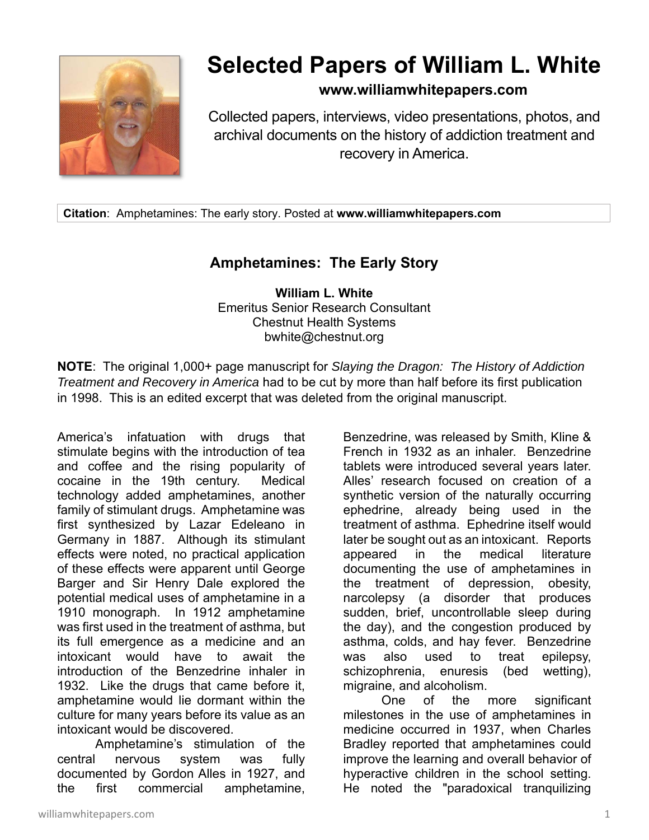

## **Selected Papers of William L. White**

## **www.williamwhitepapers.com**

Collected papers, interviews, video presentations, photos, and archival documents on the history of addiction treatment and recovery in America.

**Citation**: Amphetamines: The early story. Posted at **www.williamwhitepapers.com** 

## **Amphetamines: The Early Story**

**William L. White**  Emeritus Senior Research Consultant Chestnut Health Systems bwhite@chestnut.org

**NOTE**: The original 1,000+ page manuscript for *Slaying the Dragon: The History of Addiction Treatment and Recovery in America* had to be cut by more than half before its first publication in 1998. This is an edited excerpt that was deleted from the original manuscript.

America's infatuation with drugs that stimulate begins with the introduction of tea and coffee and the rising popularity of cocaine in the 19th century. Medical technology added amphetamines, another family of stimulant drugs. Amphetamine was first synthesized by Lazar Edeleano in Germany in 1887. Although its stimulant effects were noted, no practical application of these effects were apparent until George Barger and Sir Henry Dale explored the potential medical uses of amphetamine in a 1910 monograph. In 1912 amphetamine was first used in the treatment of asthma, but its full emergence as a medicine and an intoxicant would have to await the introduction of the Benzedrine inhaler in 1932. Like the drugs that came before it, amphetamine would lie dormant within the culture for many years before its value as an intoxicant would be discovered.

Amphetamine's stimulation of the central nervous system was fully documented by Gordon Alles in 1927, and the first commercial amphetamine,

Benzedrine, was released by Smith, Kline & French in 1932 as an inhaler. Benzedrine tablets were introduced several years later. Alles' research focused on creation of a synthetic version of the naturally occurring ephedrine, already being used in the treatment of asthma. Ephedrine itself would later be sought out as an intoxicant. Reports appeared in the medical literature documenting the use of amphetamines in the treatment of depression, obesity, narcolepsy (a disorder that produces sudden, brief, uncontrollable sleep during the day), and the congestion produced by asthma, colds, and hay fever. Benzedrine was also used to treat epilepsy, schizophrenia, enuresis (bed wetting), migraine, and alcoholism.

 One of the more significant milestones in the use of amphetamines in medicine occurred in 1937, when Charles Bradley reported that amphetamines could improve the learning and overall behavior of hyperactive children in the school setting. He noted the "paradoxical tranquilizing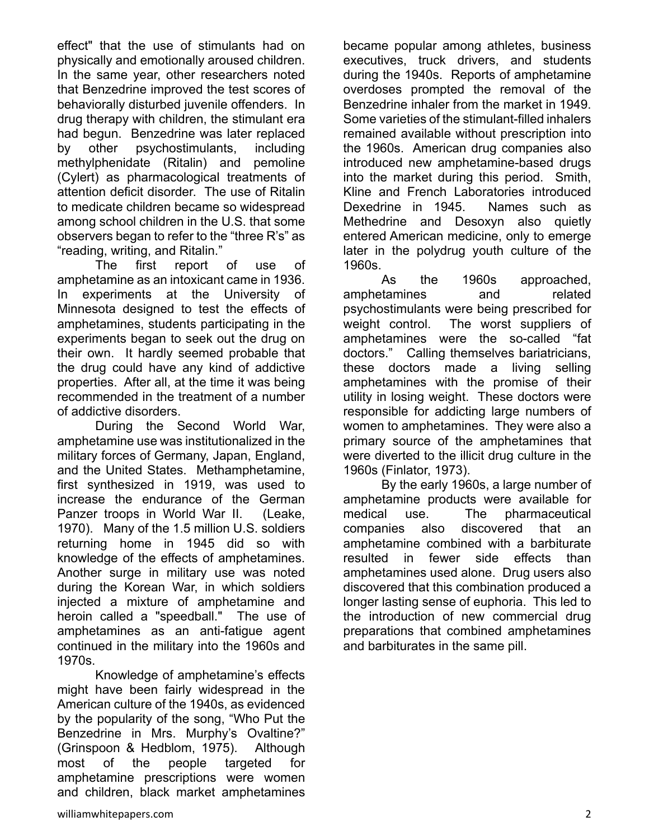effect" that the use of stimulants had on physically and emotionally aroused children. In the same year, other researchers noted that Benzedrine improved the test scores of behaviorally disturbed juvenile offenders. In drug therapy with children, the stimulant era had begun. Benzedrine was later replaced by other psychostimulants, including methylphenidate (Ritalin) and pemoline (Cylert) as pharmacological treatments of attention deficit disorder. The use of Ritalin to medicate children became so widespread among school children in the U.S. that some observers began to refer to the "three R's" as "reading, writing, and Ritalin."

The first report of use of amphetamine as an intoxicant came in 1936. In experiments at the University of Minnesota designed to test the effects of amphetamines, students participating in the experiments began to seek out the drug on their own. It hardly seemed probable that the drug could have any kind of addictive properties. After all, at the time it was being recommended in the treatment of a number of addictive disorders.

During the Second World War, amphetamine use was institutionalized in the military forces of Germany, Japan, England, and the United States. Methamphetamine, first synthesized in 1919, was used to increase the endurance of the German Panzer troops in World War II. (Leake, 1970). Many of the 1.5 million U.S. soldiers returning home in 1945 did so with knowledge of the effects of amphetamines. Another surge in military use was noted during the Korean War, in which soldiers injected a mixture of amphetamine and heroin called a "speedball." The use of amphetamines as an anti-fatigue agent continued in the military into the 1960s and 1970s.

Knowledge of amphetamine's effects might have been fairly widespread in the American culture of the 1940s, as evidenced by the popularity of the song, "Who Put the Benzedrine in Mrs. Murphy's Ovaltine?" (Grinspoon & Hedblom, 1975). Although most of the people targeted for amphetamine prescriptions were women and children, black market amphetamines

became popular among athletes, business executives, truck drivers, and students during the 1940s. Reports of amphetamine overdoses prompted the removal of the Benzedrine inhaler from the market in 1949. Some varieties of the stimulant-filled inhalers remained available without prescription into the 1960s. American drug companies also introduced new amphetamine-based drugs into the market during this period. Smith, Kline and French Laboratories introduced Dexedrine in 1945. Names such as Methedrine and Desoxyn also quietly entered American medicine, only to emerge later in the polydrug youth culture of the 1960s.

As the 1960s approached, amphetamines and related psychostimulants were being prescribed for weight control. The worst suppliers of amphetamines were the so-called "fat doctors." Calling themselves bariatricians, these doctors made a living selling amphetamines with the promise of their utility in losing weight. These doctors were responsible for addicting large numbers of women to amphetamines. They were also a primary source of the amphetamines that were diverted to the illicit drug culture in the 1960s (Finlator, 1973).

By the early 1960s, a large number of amphetamine products were available for medical use. The pharmaceutical companies also discovered that an amphetamine combined with a barbiturate resulted in fewer side effects than amphetamines used alone. Drug users also discovered that this combination produced a longer lasting sense of euphoria. This led to the introduction of new commercial drug preparations that combined amphetamines and barbiturates in the same pill.